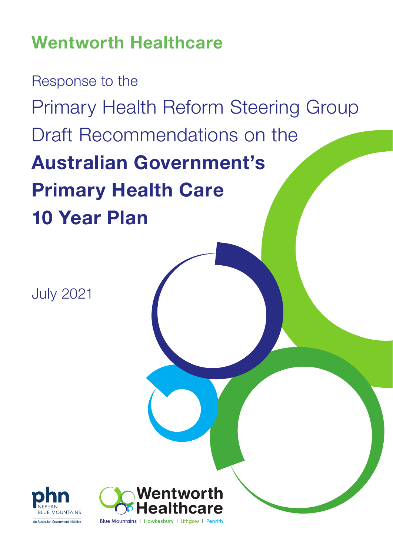# Wentworth Healthcare

Response to the Primary Health Reform Steering Group Draft Recommendations on the Australian Government's Primary Health Care 10 Year Plan

July 2021



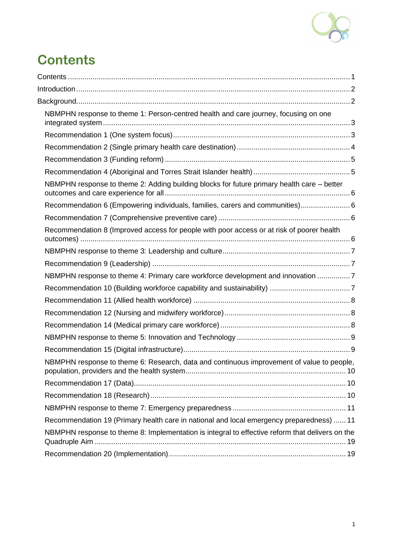

# <span id="page-1-0"></span>**Contents**

| NBMPHN response to theme 1: Person-centred health and care journey, focusing on one             |  |
|-------------------------------------------------------------------------------------------------|--|
|                                                                                                 |  |
|                                                                                                 |  |
|                                                                                                 |  |
|                                                                                                 |  |
| NBMPHN response to theme 2: Adding building blocks for future primary health care - better      |  |
| Recommendation 6 (Empowering individuals, families, carers and communities) 6                   |  |
|                                                                                                 |  |
| Recommendation 8 (Improved access for people with poor access or at risk of poorer health       |  |
|                                                                                                 |  |
|                                                                                                 |  |
| NBMPHN response to theme 4: Primary care workforce development and innovation 7                 |  |
|                                                                                                 |  |
|                                                                                                 |  |
|                                                                                                 |  |
|                                                                                                 |  |
|                                                                                                 |  |
|                                                                                                 |  |
| NBMPHN response to theme 6: Research, data and continuous improvement of value to people,       |  |
|                                                                                                 |  |
|                                                                                                 |  |
|                                                                                                 |  |
| Recommendation 19 (Primary health care in national and local emergency preparedness)  11        |  |
| NBMPHN response to theme 8: Implementation is integral to effective reform that delivers on the |  |
|                                                                                                 |  |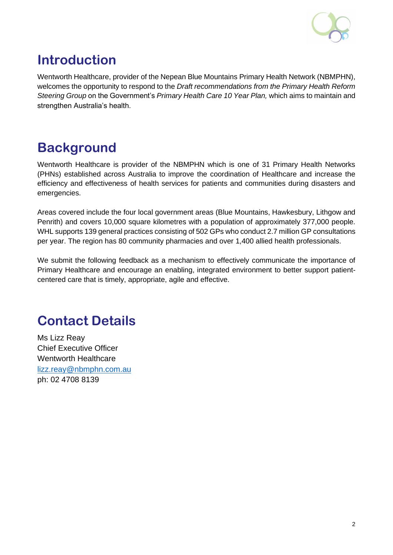

# <span id="page-2-0"></span>**Introduction**

Wentworth Healthcare, provider of the Nepean Blue Mountains Primary Health Network (NBMPHN), welcomes the opportunity to respond to the *Draft recommendations from the Primary Health Reform Steering Group* on the Government's *Primary Health Care 10 Year Plan,* which aims to maintain and strengthen Australia's health.

# <span id="page-2-1"></span>**Background**

Wentworth Healthcare is provider of the NBMPHN which is one of 31 Primary Health Networks (PHNs) established across Australia to improve the coordination of Healthcare and increase the efficiency and effectiveness of health services for patients and communities during disasters and emergencies.

Areas covered include the four local government areas (Blue Mountains, Hawkesbury, Lithgow and Penrith) and covers 10,000 square kilometres with a population of approximately 377,000 people. WHL supports 139 general practices consisting of 502 GPs who conduct 2.7 million GP consultations per year. The region has 80 community pharmacies and over 1,400 allied health professionals.

We submit the following feedback as a mechanism to effectively communicate the importance of Primary Healthcare and encourage an enabling, integrated environment to better support patientcentered care that is timely, appropriate, agile and effective.

# **Contact Details**

Ms Lizz Reay Chief Executive Officer Wentworth Healthcare [lizz.reay@nbmphn.com.au](mailto:lizz.reay@nbmphn.com.au) ph: 02 4708 8139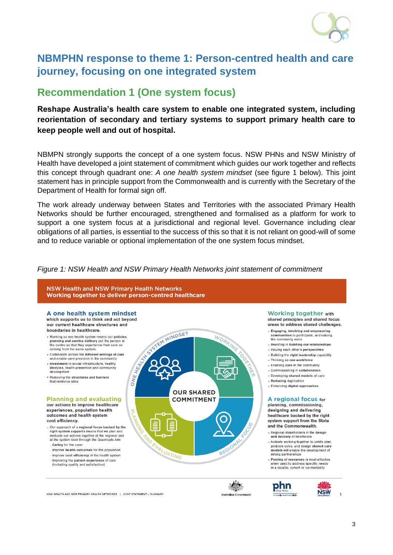

# <span id="page-3-0"></span>**NBMPHN response to theme 1: Person-centred health and care journey, focusing on one integrated system**

### <span id="page-3-1"></span>**Recommendation 1 (One system focus)**

### **Reshape Australia's health care system to enable one integrated system, including reorientation of secondary and tertiary systems to support primary health care to keep people well and out of hospital.**

NBMPN strongly supports the concept of a one system focus. NSW PHNs and NSW Ministry of Health have developed a joint statement of commitment which guides our work together and reflects this concept through quadrant one: *A one health system mindset* (see figure 1 below). This joint statement has in principle support from the Commonwealth and is currently with the Secretary of the Department of Health for formal sign off.

The work already underway between States and Territories with the associated Primary Health Networks should be further encouraged, strengthened and formalised as a platform for work to support a one system focus at a jurisdictional and regional level. Governance including clear obligations of all parties, is essential to the success of this so that it is not reliant on good-will of some and to reduce variable or optional implementation of the one system focus mindset.

#### *Figure 1: NSW Health and NSW Primary Health Networks joint statement of commitment*



A one health system mindset which supports us to think and act beyond our current healthcare structures and

- boundaries in healthcare. • Working as one health system means our policies, planning and service delivery put the person at the centre so that they experience their care as coming from the same system.
- . Collaborate across the different settings of care and enable care provision in the community
- Investment in social infrastructure, healthy lifestyles, health prevention and community development
- Removing the structures and barriers<br>that reinforce silos

#### **Planning and evaluating**

our actions to improve healthcare experiences, population health outcomes and health system cost efficiency.

- . Our approach of a regional focus backed by the<br>right system supports means that we plan and evaluate our actions together at the regional and at the system level through the Quadruple Aim - Caring for the carer
- Improve health outcomes for the population
- Improve cost efficiency of the health system
- Improving the patient experience of care<br>(including quality and satisfaction)



**Working together with** shared principles and shared focus

- areas to address shared challenges. . Engaging involving and empowering communities to participate, and valuing
- the community voice . Investing in building our relationships
- . Valuing each other's perspectives
- Building the right leadership capability
- · Thinking as one workforce • Enabling care in the community
- Commissioning in collaboration
- Developing shared models of care
- Reducing duplication
- Enhancing digital approaches

A regional focus for planning, commissioning, designing and delivering healthcare backed by the right system support from the State

and the Commonwealth. . Beginnal stakeholders in the design

- and delivery of healthcare • Actively working together to jointly plan
- problem solve, and design shared care models will enable the development of strong partnerships
- Pooling of resources is most effective when used to address specific needs in a locality, cohort or co-morbidity





NSW HEALTH AND NSW PRIMARY HEALTH NETWORKS | JOINT STATEMENT - SUMMARY

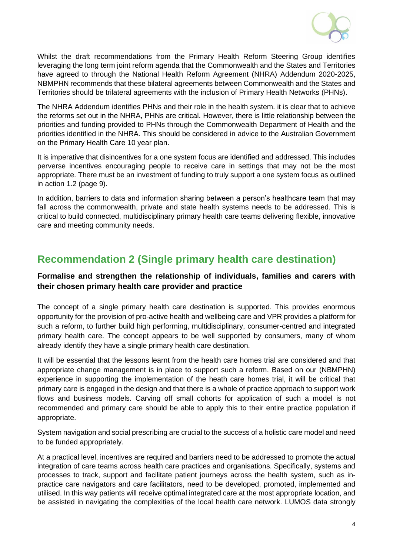

Whilst the draft recommendations from the Primary Health Reform Steering Group identifies leveraging the long term joint reform agenda that the Commonwealth and the States and Territories have agreed to through the National Health Reform Agreement (NHRA) Addendum 2020-2025, NBMPHN recommends that these bilateral agreements between Commonwealth and the States and Territories should be trilateral agreements with the inclusion of Primary Health Networks (PHNs).

The NHRA Addendum identifies PHNs and their role in the health system. it is clear that to achieve the reforms set out in the NHRA, PHNs are critical. However, there is little relationship between the priorities and funding provided to PHNs through the Commonwealth Department of Health and the priorities identified in the NHRA. This should be considered in advice to the Australian Government on the Primary Health Care 10 year plan.

It is imperative that disincentives for a one system focus are identified and addressed. This includes perverse incentives encouraging people to receive care in settings that may not be the most appropriate. There must be an investment of funding to truly support a one system focus as outlined in action 1.2 (page 9).

In addition, barriers to data and information sharing between a person's healthcare team that may fall across the commonwealth, private and state health systems needs to be addressed. This is critical to build connected, multidisciplinary primary health care teams delivering flexible, innovative care and meeting community needs.

## <span id="page-4-0"></span>**Recommendation 2 (Single primary health care destination)**

### **Formalise and strengthen the relationship of individuals, families and carers with their chosen primary health care provider and practice**

The concept of a single primary health care destination is supported. This provides enormous opportunity for the provision of pro-active health and wellbeing care and VPR provides a platform for such a reform, to further build high performing, multidisciplinary, consumer-centred and integrated primary health care. The concept appears to be well supported by consumers, many of whom already identify they have a single primary health care destination.

It will be essential that the lessons learnt from the health care homes trial are considered and that appropriate change management is in place to support such a reform. Based on our (NBMPHN) experience in supporting the implementation of the heath care homes trial, it will be critical that primary care is engaged in the design and that there is a whole of practice approach to support work flows and business models. Carving off small cohorts for application of such a model is not recommended and primary care should be able to apply this to their entire practice population if appropriate.

System navigation and social prescribing are crucial to the success of a holistic care model and need to be funded appropriately.

At a practical level, incentives are required and barriers need to be addressed to promote the actual integration of care teams across health care practices and organisations. Specifically, systems and processes to track, support and facilitate patient journeys across the health system, such as inpractice care navigators and care facilitators, need to be developed, promoted, implemented and utilised. In this way patients will receive optimal integrated care at the most appropriate location, and be assisted in navigating the complexities of the local health care network. LUMOS data strongly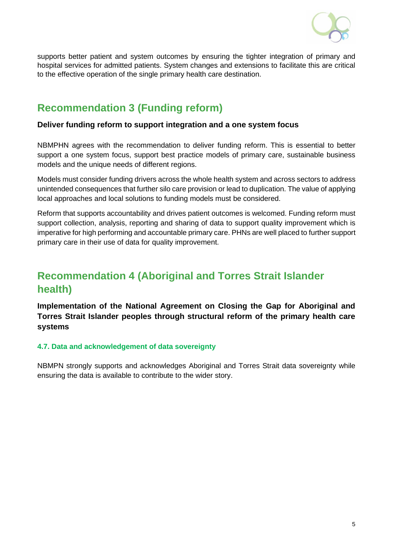

supports better patient and system outcomes by ensuring the tighter integration of primary and hospital services for admitted patients. System changes and extensions to facilitate this are critical to the effective operation of the single primary health care destination.

## <span id="page-5-0"></span>**Recommendation 3 (Funding reform)**

### **Deliver funding reform to support integration and a one system focus**

NBMPHN agrees with the recommendation to deliver funding reform. This is essential to better support a one system focus, support best practice models of primary care, sustainable business models and the unique needs of different regions.

Models must consider funding drivers across the whole health system and across sectors to address unintended consequences that further silo care provision or lead to duplication. The value of applying local approaches and local solutions to funding models must be considered.

Reform that supports accountability and drives patient outcomes is welcomed. Funding reform must support collection, analysis, reporting and sharing of data to support quality improvement which is imperative for high performing and accountable primary care. PHNs are well placed to further support primary care in their use of data for quality improvement.

# <span id="page-5-1"></span>**Recommendation 4 (Aboriginal and Torres Strait Islander health)**

**Implementation of the National Agreement on Closing the Gap for Aboriginal and Torres Strait Islander peoples through structural reform of the primary health care systems**

### **4.7. Data and acknowledgement of data sovereignty**

NBMPN strongly supports and acknowledges Aboriginal and Torres Strait data sovereignty while ensuring the data is available to contribute to the wider story.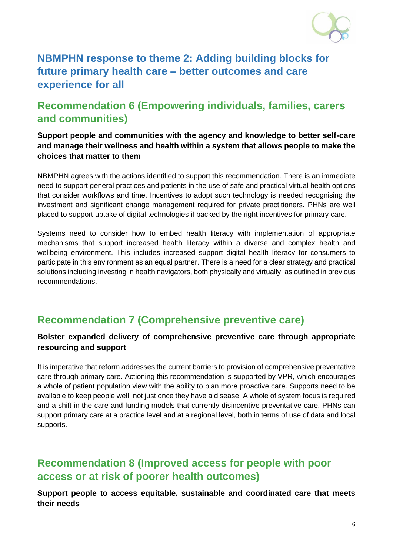

# <span id="page-6-0"></span>**NBMPHN response to theme 2: Adding building blocks for future primary health care – better outcomes and care experience for all**

# <span id="page-6-1"></span>**Recommendation 6 (Empowering individuals, families, carers and communities)**

### **Support people and communities with the agency and knowledge to better self-care and manage their wellness and health within a system that allows people to make the choices that matter to them**

NBMPHN agrees with the actions identified to support this recommendation. There is an immediate need to support general practices and patients in the use of safe and practical virtual health options that consider workflows and time. Incentives to adopt such technology is needed recognising the investment and significant change management required for private practitioners. PHNs are well placed to support uptake of digital technologies if backed by the right incentives for primary care.

Systems need to consider how to embed health literacy with implementation of appropriate mechanisms that support increased health literacy within a diverse and complex health and wellbeing environment. This includes increased support digital health literacy for consumers to participate in this environment as an equal partner. There is a need for a clear strategy and practical solutions including investing in health navigators, both physically and virtually, as outlined in previous recommendations.

# <span id="page-6-2"></span>**Recommendation 7 (Comprehensive preventive care)**

### **Bolster expanded delivery of comprehensive preventive care through appropriate resourcing and support**

It is imperative that reform addresses the current barriers to provision of comprehensive preventative care through primary care. Actioning this recommendation is supported by VPR, which encourages a whole of patient population view with the ability to plan more proactive care. Supports need to be available to keep people well, not just once they have a disease. A whole of system focus is required and a shift in the care and funding models that currently disincentive preventative care. PHNs can support primary care at a practice level and at a regional level, both in terms of use of data and local supports.

# <span id="page-6-3"></span>**Recommendation 8 (Improved access for people with poor access or at risk of poorer health outcomes)**

**Support people to access equitable, sustainable and coordinated care that meets their needs**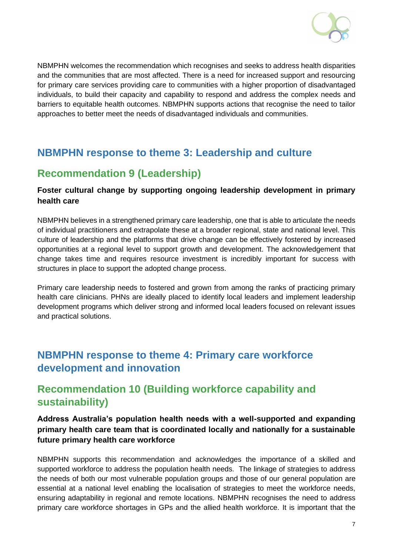

NBMPHN welcomes the recommendation which recognises and seeks to address health disparities and the communities that are most affected. There is a need for increased support and resourcing for primary care services providing care to communities with a higher proportion of disadvantaged individuals, to build their capacity and capability to respond and address the complex needs and barriers to equitable health outcomes. NBMPHN supports actions that recognise the need to tailor approaches to better meet the needs of disadvantaged individuals and communities.

# <span id="page-7-0"></span>**NBMPHN response to theme 3: Leadership and culture**

# <span id="page-7-1"></span>**Recommendation 9 (Leadership)**

### **Foster cultural change by supporting ongoing leadership development in primary health care**

NBMPHN believes in a strengthened primary care leadership, one that is able to articulate the needs of individual practitioners and extrapolate these at a broader regional, state and national level. This culture of leadership and the platforms that drive change can be effectively fostered by increased opportunities at a regional level to support growth and development. The acknowledgement that change takes time and requires resource investment is incredibly important for success with structures in place to support the adopted change process.

Primary care leadership needs to fostered and grown from among the ranks of practicing primary health care clinicians. PHNs are ideally placed to identify local leaders and implement leadership development programs which deliver strong and informed local leaders focused on relevant issues and practical solutions.

# <span id="page-7-2"></span>**NBMPHN response to theme 4: Primary care workforce development and innovation**

# <span id="page-7-3"></span>**Recommendation 10 (Building workforce capability and sustainability)**

### **Address Australia's population health needs with a well-supported and expanding primary health care team that is coordinated locally and nationally for a sustainable future primary health care workforce**

NBMPHN supports this recommendation and acknowledges the importance of a skilled and supported workforce to address the population health needs. The linkage of strategies to address the needs of both our most vulnerable population groups and those of our general population are essential at a national level enabling the localisation of strategies to meet the workforce needs, ensuring adaptability in regional and remote locations. NBMPHN recognises the need to address primary care workforce shortages in GPs and the allied health workforce. It is important that the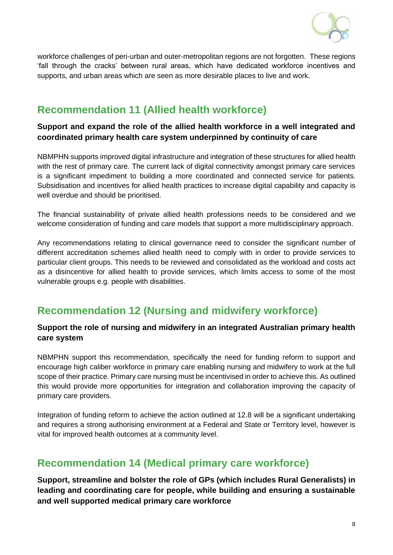

workforce challenges of peri-urban and outer-metropolitan regions are not forgotten. These regions 'fall through the cracks' between rural areas, which have dedicated workforce incentives and supports, and urban areas which are seen as more desirable places to live and work.

## <span id="page-8-0"></span>**Recommendation 11 (Allied health workforce)**

### **Support and expand the role of the allied health workforce in a well integrated and coordinated primary health care system underpinned by continuity of care**

NBMPHN supports improved digital infrastructure and integration of these structures for allied health with the rest of primary care. The current lack of digital connectivity amongst primary care services is a significant impediment to building a more coordinated and connected service for patients. Subsidisation and incentives for allied health practices to increase digital capability and capacity is well overdue and should be prioritised.

The financial sustainability of private allied health professions needs to be considered and we welcome consideration of funding and care models that support a more multidisciplinary approach.

Any recommendations relating to clinical governance need to consider the significant number of different accreditation schemes allied health need to comply with in order to provide services to particular client groups. This needs to be reviewed and consolidated as the workload and costs act as a disincentive for allied health to provide services, which limits access to some of the most vulnerable groups e.g. people with disabilities.

## <span id="page-8-1"></span>**Recommendation 12 (Nursing and midwifery workforce)**

### **Support the role of nursing and midwifery in an integrated Australian primary health care system**

NBMPHN support this recommendation, specifically the need for funding reform to support and encourage high caliber workforce in primary care enabling nursing and midwifery to work at the full scope of their practice. Primary care nursing must be incentivised in order to achieve this. As outlined this would provide more opportunities for integration and collaboration improving the capacity of primary care providers.

Integration of funding reform to achieve the action outlined at 12.8 will be a significant undertaking and requires a strong authorising environment at a Federal and State or Territory level, however is vital for improved health outcomes at a community level.

### <span id="page-8-2"></span>**Recommendation 14 (Medical primary care workforce)**

**Support, streamline and bolster the role of GPs (which includes Rural Generalists) in leading and coordinating care for people, while building and ensuring a sustainable and well supported medical primary care workforce**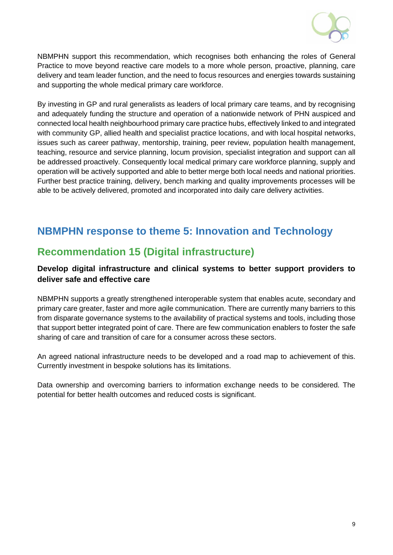

NBMPHN support this recommendation, which recognises both enhancing the roles of General Practice to move beyond reactive care models to a more whole person, proactive, planning, care delivery and team leader function, and the need to focus resources and energies towards sustaining and supporting the whole medical primary care workforce.

By investing in GP and rural generalists as leaders of local primary care teams, and by recognising and adequately funding the structure and operation of a nationwide network of PHN auspiced and connected local health neighbourhood primary care practice hubs, effectively linked to and integrated with community GP, allied health and specialist practice locations, and with local hospital networks, issues such as career pathway, mentorship, training, peer review, population health management, teaching, resource and service planning, locum provision, specialist integration and support can all be addressed proactively. Consequently local medical primary care workforce planning, supply and operation will be actively supported and able to better merge both local needs and national priorities. Further best practice training, delivery, bench marking and quality improvements processes will be able to be actively delivered, promoted and incorporated into daily care delivery activities.

# <span id="page-9-0"></span>**NBMPHN response to theme 5: Innovation and Technology**

## <span id="page-9-1"></span>**Recommendation 15 (Digital infrastructure)**

### **Develop digital infrastructure and clinical systems to better support providers to deliver safe and effective care**

NBMPHN supports a greatly strengthened interoperable system that enables acute, secondary and primary care greater, faster and more agile communication. There are currently many barriers to this from disparate governance systems to the availability of practical systems and tools, including those that support better integrated point of care. There are few communication enablers to foster the safe sharing of care and transition of care for a consumer across these sectors.

An agreed national infrastructure needs to be developed and a road map to achievement of this. Currently investment in bespoke solutions has its limitations.

Data ownership and overcoming barriers to information exchange needs to be considered. The potential for better health outcomes and reduced costs is significant.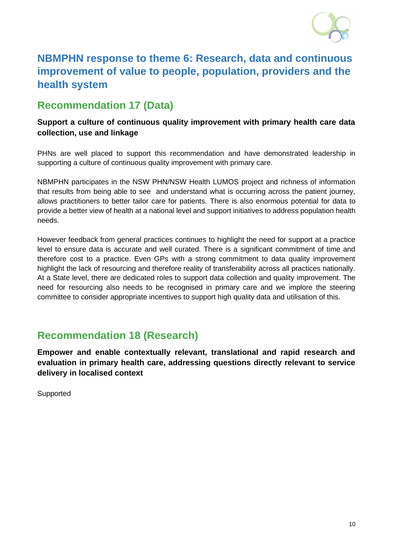

# <span id="page-10-0"></span>**NBMPHN response to theme 6: Research, data and continuous improvement of value to people, population, providers and the health system**

# <span id="page-10-1"></span>**Recommendation 17 (Data)**

### **Support a culture of continuous quality improvement with primary health care data collection, use and linkage**

PHNs are well placed to support this recommendation and have demonstrated leadership in supporting a culture of continuous quality improvement with primary care.

NBMPHN participates in the NSW PHN/NSW Health LUMOS project and richness of information that results from being able to see and understand what is occurring across the patient journey, allows practitioners to better tailor care for patients. There is also enormous potential for data to provide a better view of health at a national level and support initiatives to address population health needs.

However feedback from general practices continues to highlight the need for support at a practice level to ensure data is accurate and well curated. There is a significant commitment of time and therefore cost to a practice. Even GPs with a strong commitment to data quality improvement highlight the lack of resourcing and therefore reality of transferability across all practices nationally. At a State level, there are dedicated roles to support data collection and quality improvement. The need for resourcing also needs to be recognised in primary care and we implore the steering committee to consider appropriate incentives to support high quality data and utilisation of this.

### <span id="page-10-2"></span>**Recommendation 18 (Research)**

**Empower and enable contextually relevant, translational and rapid research and evaluation in primary health care, addressing questions directly relevant to service delivery in localised context**

Supported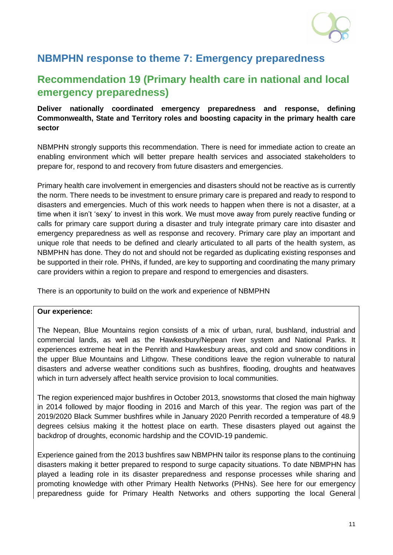

# <span id="page-11-0"></span>**NBMPHN response to theme 7: Emergency preparedness**

# <span id="page-11-1"></span>**Recommendation 19 (Primary health care in national and local emergency preparedness)**

### **Deliver nationally coordinated emergency preparedness and response, defining Commonwealth, State and Territory roles and boosting capacity in the primary health care sector**

NBMPHN strongly supports this recommendation. There is need for immediate action to create an enabling environment which will better prepare health services and associated stakeholders to prepare for, respond to and recovery from future disasters and emergencies.

Primary health care involvement in emergencies and disasters should not be reactive as is currently the norm. There needs to be investment to ensure primary care is prepared and ready to respond to disasters and emergencies. Much of this work needs to happen when there is not a disaster, at a time when it isn't 'sexy' to invest in this work. We must move away from purely reactive funding or calls for primary care support during a disaster and truly integrate primary care into disaster and emergency preparedness as well as response and recovery. Primary care play an important and unique role that needs to be defined and clearly articulated to all parts of the health system, as NBMPHN has done. They do not and should not be regarded as duplicating existing responses and be supported in their role. PHNs, if funded, are key to supporting and coordinating the many primary care providers within a region to prepare and respond to emergencies and disasters.

There is an opportunity to build on the work and experience of NBMPHN

### **Our experience:**

The Nepean, Blue Mountains region consists of a mix of urban, rural, bushland, industrial and commercial lands, as well as the Hawkesbury/Nepean river system and National Parks. It experiences extreme heat in the Penrith and Hawkesbury areas, and cold and snow conditions in the upper Blue Mountains and Lithgow. These conditions leave the region vulnerable to natural disasters and adverse weather conditions such as bushfires, flooding, droughts and heatwaves which in turn adversely affect health service provision to local communities.

The region experienced major bushfires in October 2013, snowstorms that closed the main highway in 2014 followed by major flooding in 2016 and March of this year. The region was part of the 2019/2020 Black Summer bushfires while in January 2020 Penrith recorded a temperature of 48.9 degrees celsius making it the hottest place on earth. These disasters played out against the backdrop of droughts, economic hardship and the COVID-19 pandemic.

Experience gained from the 2013 bushfires saw NBMPHN tailor its response plans to the continuing disasters making it better prepared to respond to surge capacity situations. To date NBMPHN has played a leading role in its disaster preparedness and response processes while sharing and promoting knowledge with other Primary Health Networks (PHNs). See here for our emergency preparedness guide for Primary Health Networks and others supporting the local General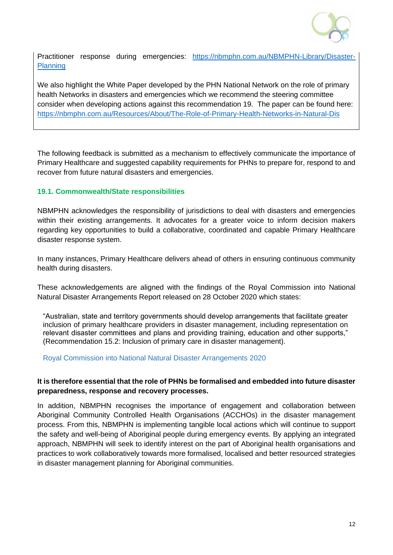

Practitioner response during emergencies: [https://nbmphn.com.au/NBMPHN-Library/Disaster-](https://nbmphn.com.au/NBMPHN-Library/Disaster-Planning)**[Planning](https://nbmphn.com.au/NBMPHN-Library/Disaster-Planning)** 

We also highlight the White Paper developed by the PHN National Network on the role of primary health Networks in disasters and emergencies which we recommend the steering committee consider when developing actions against this recommendation 19. The paper can be found here: <https://nbmphn.com.au/Resources/About/The-Role-of-Primary-Health-Networks-in-Natural-Dis>

The following feedback is submitted as a mechanism to effectively communicate the importance of Primary Healthcare and suggested capability requirements for PHNs to prepare for, respond to and recover from future natural disasters and emergencies.

### **19.1. Commonwealth/State responsibilities**

NBMPHN acknowledges the responsibility of jurisdictions to deal with disasters and emergencies within their existing arrangements. It advocates for a greater voice to inform decision makers regarding key opportunities to build a collaborative, coordinated and capable Primary Healthcare disaster response system.

In many instances, Primary Healthcare delivers ahead of others in ensuring continuous community health during disasters.

These acknowledgements are aligned with the findings of the Royal Commission into National Natural Disaster Arrangements Report released on 28 October 2020 which states:

"Australian, state and territory governments should develop arrangements that facilitate greater inclusion of primary healthcare providers in disaster management, including representation on relevant disaster committees and plans and providing training, education and other supports," (Recommendation 15.2: Inclusion of primary care in disaster management).

### [Royal Commission into National Natural Disaster Arrangements 2020](file://///NBMML-FSCDATA/FSCDATA/USERS/MARIER/2%20Docs%20Reports%20to%20read%20Mari/Royal%20Commission%20into%20National%20Natural%20Disaster%20Arrangements%20-%20Report%20%20%5baccessible%5d%20(1).pdf)

### **It is therefore essential that the role of PHNs be formalised and embedded into future disaster preparedness, response and recovery processes.**

In addition, NBMPHN recognises the importance of engagement and collaboration between Aboriginal Community Controlled Health Organisations (ACCHOs) in the disaster management process. From this, NBMPHN is implementing tangible local actions which will continue to support the safety and well-being of Aboriginal people during emergency events. By applying an integrated approach, NBMPHN will seek to identify interest on the part of Aboriginal health organisations and practices to work collaboratively towards more formalised, localised and better resourced strategies in disaster management planning for Aboriginal communities.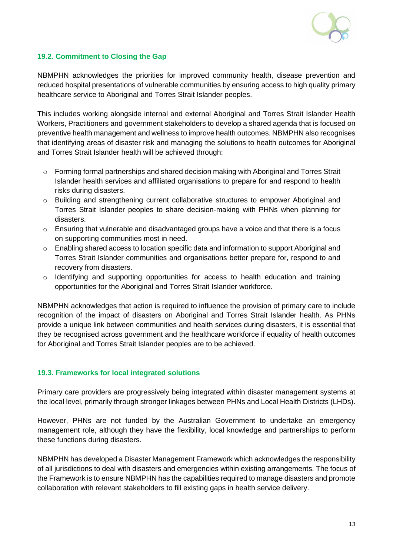

### **19.2. Commitment to Closing the Gap**

NBMPHN acknowledges the priorities for improved community health, disease prevention and reduced hospital presentations of vulnerable communities by ensuring access to high quality primary healthcare service to Aboriginal and Torres Strait Islander peoples.

This includes working alongside internal and external Aboriginal and Torres Strait Islander Health Workers, Practitioners and government stakeholders to develop a shared agenda that is focused on preventive health management and wellness to improve health outcomes. NBMPHN also recognises that identifying areas of disaster risk and managing the solutions to health outcomes for Aboriginal and Torres Strait Islander health will be achieved through:

- $\circ$  Forming formal partnerships and shared decision making with Aboriginal and Torres Strait Islander health services and affiliated organisations to prepare for and respond to health risks during disasters.
- o Building and strengthening current collaborative structures to empower Aboriginal and Torres Strait Islander peoples to share decision-making with PHNs when planning for disasters.
- $\circ$  Ensuring that vulnerable and disadvantaged groups have a voice and that there is a focus on supporting communities most in need.
- o Enabling shared access to location specific data and information to support Aboriginal and Torres Strait Islander communities and organisations better prepare for, respond to and recovery from disasters.
- o Identifying and supporting opportunities for access to health education and training opportunities for the Aboriginal and Torres Strait Islander workforce.

NBMPHN acknowledges that action is required to influence the provision of primary care to include recognition of the impact of disasters on Aboriginal and Torres Strait Islander health. As PHNs provide a unique link between communities and health services during disasters, it is essential that they be recognised across government and the healthcare workforce if equality of health outcomes for Aboriginal and Torres Strait Islander peoples are to be achieved.

### **19.3. Frameworks for local integrated solutions**

Primary care providers are progressively being integrated within disaster management systems at the local level, primarily through stronger linkages between PHNs and Local Health Districts (LHDs).

However, PHNs are not funded by the Australian Government to undertake an emergency management role, although they have the flexibility, local knowledge and partnerships to perform these functions during disasters.

NBMPHN has developed a Disaster Management Framework which acknowledges the responsibility of all jurisdictions to deal with disasters and emergencies within existing arrangements. The focus of the Framework is to ensure NBMPHN has the capabilities required to manage disasters and promote collaboration with relevant stakeholders to fill existing gaps in health service delivery.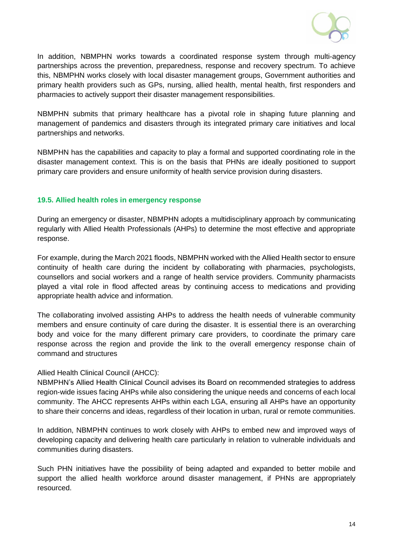

In addition, NBMPHN works towards a coordinated response system through multi-agency partnerships across the prevention, preparedness, response and recovery spectrum. To achieve this, NBMPHN works closely with local disaster management groups, Government authorities and primary health providers such as GPs, nursing, allied health, mental health, first responders and pharmacies to actively support their disaster management responsibilities.

NBMPHN submits that primary healthcare has a pivotal role in shaping future planning and management of pandemics and disasters through its integrated primary care initiatives and local partnerships and networks.

NBMPHN has the capabilities and capacity to play a formal and supported coordinating role in the disaster management context. This is on the basis that PHNs are ideally positioned to support primary care providers and ensure uniformity of health service provision during disasters.

### **19.5. Allied health roles in emergency response**

During an emergency or disaster, NBMPHN adopts a multidisciplinary approach by communicating regularly with Allied Health Professionals (AHPs) to determine the most effective and appropriate response.

For example, during the March 2021 floods, NBMPHN worked with the Allied Health sector to ensure continuity of health care during the incident by collaborating with pharmacies, psychologists, counsellors and social workers and a range of health service providers. Community pharmacists played a vital role in flood affected areas by continuing access to medications and providing appropriate health advice and information.

The collaborating involved assisting AHPs to address the health needs of vulnerable community members and ensure continuity of care during the disaster. It is essential there is an overarching body and voice for the many different primary care providers, to coordinate the primary care response across the region and provide the link to the overall emergency response chain of command and structures

### Allied Health Clinical Council (AHCC):

NBMPHN's Allied Health Clinical Council advises its Board on recommended strategies to address region-wide issues facing AHPs while also considering the unique needs and concerns of each local community. The AHCC represents AHPs within each LGA, ensuring all AHPs have an opportunity to share their concerns and ideas, regardless of their location in urban, rural or remote communities.

In addition, NBMPHN continues to work closely with AHPs to embed new and improved ways of developing capacity and delivering health care particularly in relation to vulnerable individuals and communities during disasters.

Such PHN initiatives have the possibility of being adapted and expanded to better mobile and support the allied health workforce around disaster management, if PHNs are appropriately resourced.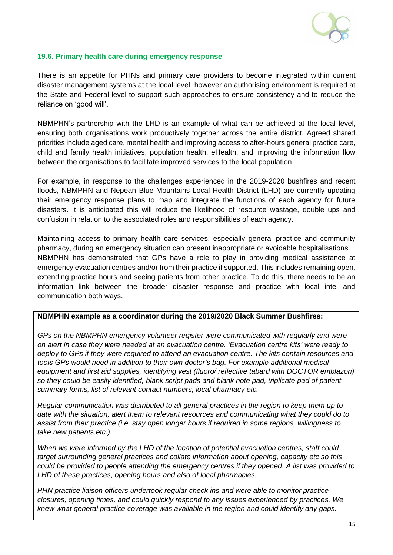

### **19.6. Primary health care during emergency response**

There is an appetite for PHNs and primary care providers to become integrated within current disaster management systems at the local level, however an authorising environment is required at the State and Federal level to support such approaches to ensure consistency and to reduce the reliance on 'good will'.

NBMPHN's partnership with the LHD is an example of what can be achieved at the local level, ensuring both organisations work productively together across the entire district. Agreed shared priorities include aged care, mental health and improving access to after-hours general practice care, child and family health initiatives, population health, eHealth, and improving the information flow between the organisations to facilitate improved services to the local population.

For example, in response to the challenges experienced in the 2019-2020 bushfires and recent floods, NBMPHN and Nepean Blue Mountains Local Health District (LHD) are currently updating their emergency response plans to map and integrate the functions of each agency for future disasters. It is anticipated this will reduce the likelihood of resource wastage, double ups and confusion in relation to the associated roles and responsibilities of each agency.

Maintaining access to primary health care services, especially general practice and community pharmacy, during an emergency situation can present inappropriate or avoidable hospitalisations. NBMPHN has demonstrated that GPs have a role to play in providing medical assistance at emergency evacuation centres and/or from their practice if supported. This includes remaining open, extending practice hours and seeing patients from other practice. To do this, there needs to be an information link between the broader disaster response and practice with local intel and communication both ways.

### **NBMPHN example as a coordinator during the 2019/2020 Black Summer Bushfires:**

*GPs on the NBMPHN emergency volunteer register were communicated with regularly and were on alert in case they were needed at an evacuation centre. 'Evacuation centre kits' were ready to deploy to GPs if they were required to attend an evacuation centre. The kits contain resources and tools GPs would need in addition to their own doctor's bag. For example additional medical equipment and first aid supplies, identifying vest (fluoro/ reflective tabard with DOCTOR emblazon) so they could be easily identified, blank script pads and blank note pad, triplicate pad of patient summary forms, list of relevant contact numbers, local pharmacy etc.*

*Regular communication was distributed to all general practices in the region to keep them up to date with the situation, alert them to relevant resources and communicating what they could do to assist from their practice (i.e. stay open longer hours if required in some regions, willingness to take new patients etc.).* 

*When we were informed by the LHD of the location of potential evacuation centres, staff could target surrounding general practices and collate information about opening, capacity etc so this could be provided to people attending the emergency centres if they opened. A list was provided to LHD of these practices, opening hours and also of local pharmacies.*

*PHN practice liaison officers undertook regular check ins and were able to monitor practice closures, opening times, and could quickly respond to any issues experienced by practices. We knew what general practice coverage was available in the region and could identify any gaps.*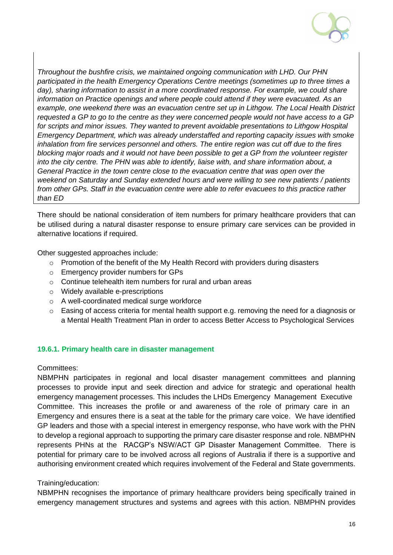

*Throughout the bushfire crisis, we maintained ongoing communication with LHD. Our PHN participated in the health Emergency Operations Centre meetings (sometimes up to three times a*  day), sharing information to assist in a more coordinated response. For example, we could share *information on Practice openings and where people could attend if they were evacuated. As an example, one weekend there was an evacuation centre set up in Lithgow. The Local Health District requested a GP to go to the centre as they were concerned people would not have access to a GP for scripts and minor issues. They wanted to prevent avoidable presentations to Lithgow Hospital Emergency Department, which was already understaffed and reporting capacity issues with smoke inhalation from fire services personnel and others. The entire region was cut off due to the fires blocking major roads and it would not have been possible to get a GP from the volunteer register into the city centre. The PHN was able to identify, liaise with, and share information about, a General Practice in the town centre close to the evacuation centre that was open over the weekend on Saturday and Sunday extended hours and were willing to see new patients / patients from other GPs. Staff in the evacuation centre were able to refer evacuees to this practice rather than ED*

There should be national consideration of item numbers for primary healthcare providers that can be utilised during a natural disaster response to ensure primary care services can be provided in alternative locations if required.

Other suggested approaches include:

- o Promotion of the benefit of the My Health Record with providers during disasters
- o Emergency provider numbers for GPs
- $\circ$  Continue telehealth item numbers for rural and urban areas
- o Widely available e-prescriptions
- o A well-coordinated medical surge workforce
- $\circ$  Easing of access criteria for mental health support e.g. removing the need for a diagnosis or a Mental Health Treatment Plan in order to access Better Access to Psychological Services

#### **19.6.1. Primary health care in disaster management**

#### Committees:

NBMPHN participates in regional and local disaster management committees and planning processes to provide input and seek direction and advice for strategic and operational health emergency management processes. This includes the LHDs Emergency Management Executive Committee. This increases the profile or and awareness of the role of primary care in an Emergency and ensures there is a seat at the table for the primary care voice. We have identified GP leaders and those with a special interest in emergency response, who have work with the PHN to develop a regional approach to supporting the primary care disaster response and role. NBMPHN represents PHNs at the RACGP's NSW/ACT GP Disaster Management Committee. There is potential for primary care to be involved across all regions of Australia if there is a supportive and authorising environment created which requires involvement of the Federal and State governments.

#### Training/education:

NBMPHN recognises the importance of primary healthcare providers being specifically trained in emergency management structures and systems and agrees with this action. NBMPHN provides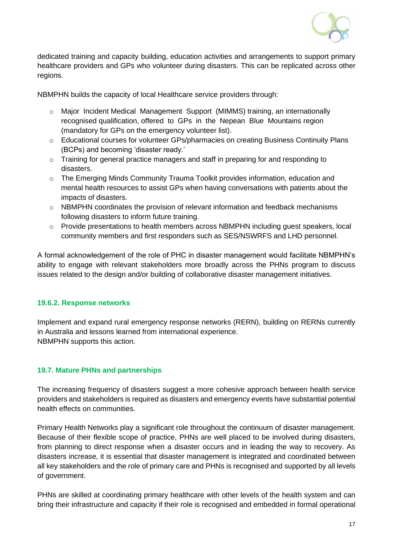

dedicated training and capacity building, education activities and arrangements to support primary healthcare providers and GPs who volunteer during disasters. This can be replicated across other regions.

NBMPHN builds the capacity of local Healthcare service providers through:

- o Major Incident Medical Management Support (MIMMS) training, an internationally recognised qualification, offered to GPs in the Nepean Blue Mountains region (mandatory for GPs on the emergency volunteer list).
- o Educational courses for volunteer GPs/pharmacies on creating Business Continuity Plans (BCPs) and becoming 'disaster ready.'
- o Training for general practice managers and staff in preparing for and responding to disasters.
- o The Emerging Minds Community Trauma Toolkit provides information, education and mental health resources to assist GPs when having conversations with patients about the impacts of disasters.
- $\circ$  NBMPHN coordinates the provision of relevant information and feedback mechanisms following disasters to inform future training.
- o Provide presentations to health members across NBMPHN including guest speakers, local community members and first responders such as SES/NSWRFS and LHD personnel.

A formal acknowledgement of the role of PHC in disaster management would facilitate NBMPHN's ability to engage with relevant stakeholders more broadly across the PHNs program to discuss issues related to the design and/or building of collaborative disaster management initiatives.

### **19.6.2. Response networks**

Implement and expand rural emergency response networks (RERN), building on RERNs currently in Australia and lessons learned from international experience. NBMPHN supports this action.

### **19.7. Mature PHNs and partnerships**

The increasing frequency of disasters suggest a more cohesive approach between health service providers and stakeholders is required as disasters and emergency events have substantial potential health effects on communities.

Primary Health Networks play a significant role throughout the continuum of disaster management. Because of their flexible scope of practice, PHNs are well placed to be involved during disasters, from planning to direct response when a disaster occurs and in leading the way to recovery. As disasters increase, it is essential that disaster management is integrated and coordinated between all key stakeholders and the role of primary care and PHNs is recognised and supported by all levels of government.

PHNs are skilled at coordinating primary healthcare with other levels of the health system and can bring their infrastructure and capacity if their role is recognised and embedded in formal operational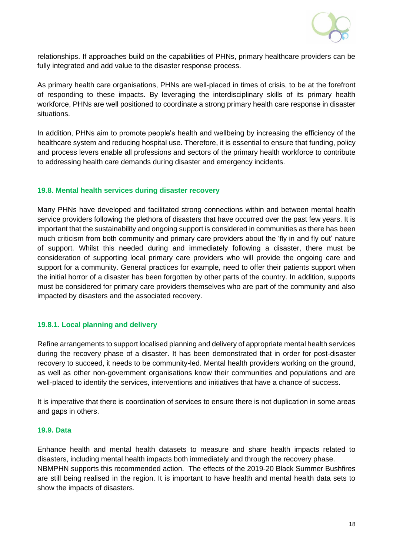

relationships. If approaches build on the capabilities of PHNs, primary healthcare providers can be fully integrated and add value to the disaster response process.

As primary health care organisations, PHNs are well-placed in times of crisis, to be at the forefront of responding to these impacts. By leveraging the interdisciplinary skills of its primary health workforce, PHNs are well positioned to coordinate a strong primary health care response in disaster situations.

In addition, PHNs aim to promote people's health and wellbeing by increasing the efficiency of the healthcare system and reducing hospital use. Therefore, it is essential to ensure that funding, policy and process levers enable all professions and sectors of the primary health workforce to contribute to addressing health care demands during disaster and emergency incidents.

#### **19.8. Mental health services during disaster recovery**

Many PHNs have developed and facilitated strong connections within and between mental health service providers following the plethora of disasters that have occurred over the past few years. It is important that the sustainability and ongoing support is considered in communities as there has been much criticism from both community and primary care providers about the 'fly in and fly out' nature of support. Whilst this needed during and immediately following a disaster, there must be consideration of supporting local primary care providers who will provide the ongoing care and support for a community. General practices for example, need to offer their patients support when the initial horror of a disaster has been forgotten by other parts of the country. In addition, supports must be considered for primary care providers themselves who are part of the community and also impacted by disasters and the associated recovery.

#### **19.8.1. Local planning and delivery**

Refine arrangements to support localised planning and delivery of appropriate mental health services during the recovery phase of a disaster. It has been demonstrated that in order for post-disaster recovery to succeed, it needs to be community-led. Mental health providers working on the ground, as well as other non-government organisations know their communities and populations and are well-placed to identify the services, interventions and initiatives that have a chance of success.

It is imperative that there is coordination of services to ensure there is not duplication in some areas and gaps in others.

#### **19.9. Data**

Enhance health and mental health datasets to measure and share health impacts related to disasters, including mental health impacts both immediately and through the recovery phase. NBMPHN supports this recommended action. The effects of the 2019-20 Black Summer Bushfires are still being realised in the region. It is important to have health and mental health data sets to show the impacts of disasters.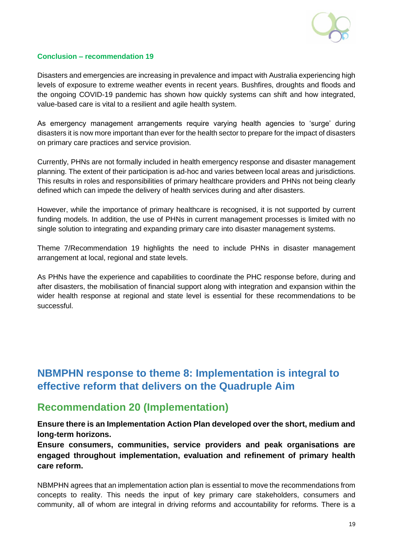

### **Conclusion – recommendation 19**

Disasters and emergencies are increasing in prevalence and impact with Australia experiencing high levels of exposure to extreme weather events in recent years. Bushfires, droughts and floods and the ongoing COVID-19 pandemic has shown how quickly systems can shift and how integrated, value-based care is vital to a resilient and agile health system.

As emergency management arrangements require varying health agencies to 'surge' during disasters it is now more important than ever for the health sector to prepare for the impact of disasters on primary care practices and service provision.

Currently, PHNs are not formally included in health emergency response and disaster management planning. The extent of their participation is ad-hoc and varies between local areas and jurisdictions. This results in roles and responsibilities of primary healthcare providers and PHNs not being clearly defined which can impede the delivery of health services during and after disasters.

However, while the importance of primary healthcare is recognised, it is not supported by current funding models. In addition, the use of PHNs in current management processes is limited with no single solution to integrating and expanding primary care into disaster management systems.

Theme 7/Recommendation 19 highlights the need to include PHNs in disaster management arrangement at local, regional and state levels.

As PHNs have the experience and capabilities to coordinate the PHC response before, during and after disasters, the mobilisation of financial support along with integration and expansion within the wider health response at regional and state level is essential for these recommendations to be successful.

# <span id="page-19-0"></span>**NBMPHN response to theme 8: Implementation is integral to effective reform that delivers on the Quadruple Aim**

### <span id="page-19-1"></span>**Recommendation 20 (Implementation)**

**Ensure there is an Implementation Action Plan developed over the short, medium and long-term horizons.**

**Ensure consumers, communities, service providers and peak organisations are engaged throughout implementation, evaluation and refinement of primary health care reform.**

NBMPHN agrees that an implementation action plan is essential to move the recommendations from concepts to reality. This needs the input of key primary care stakeholders, consumers and community, all of whom are integral in driving reforms and accountability for reforms. There is a